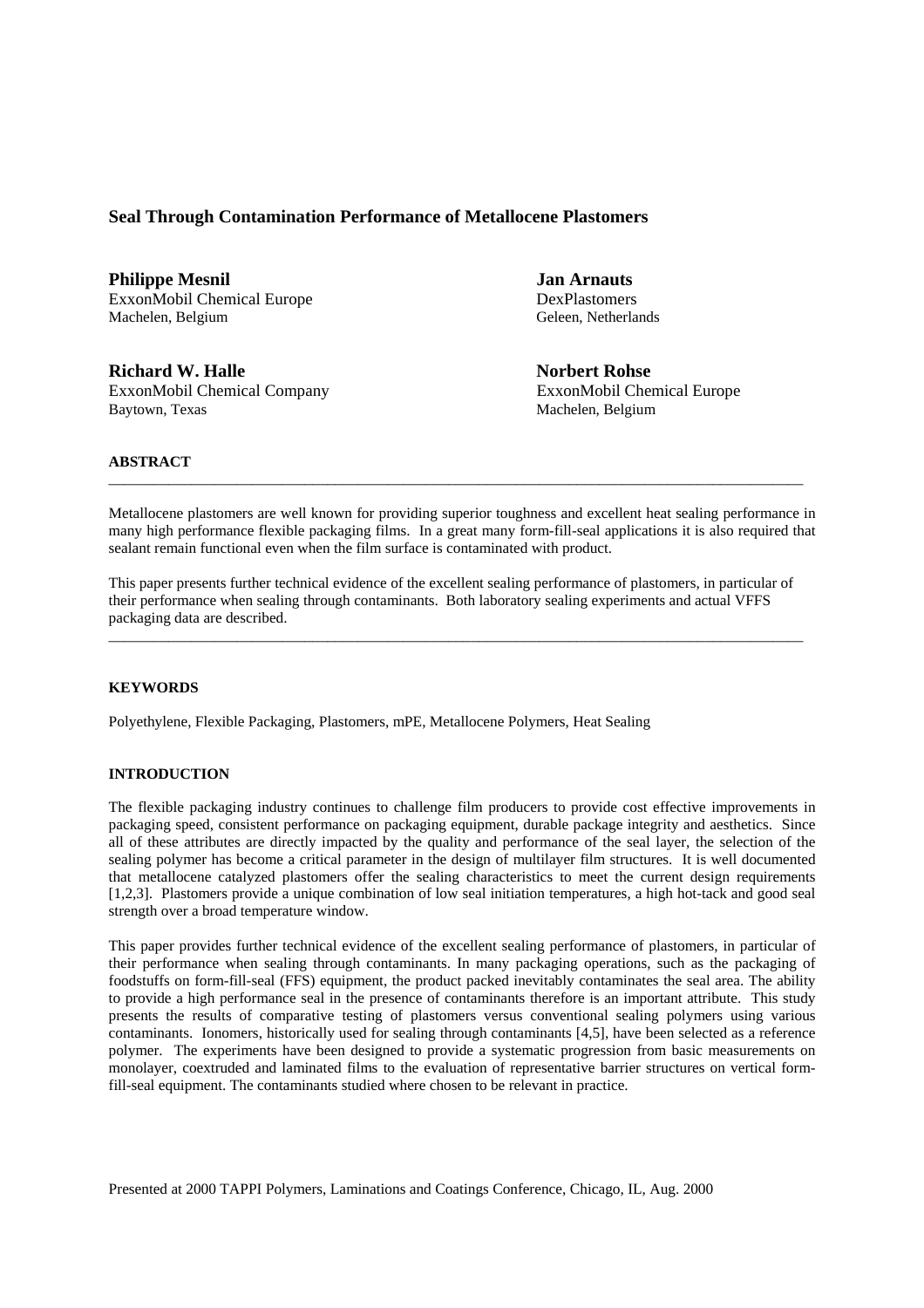# **Seal Through Contamination Performance of Metallocene Plastomers**

**Philippe Mesnil Jan Arnauts**  ExxonMobil Chemical Europe DexPlastomers Machelen, Belgium Geleen, Netherlands

**Richard W. Halle Norbert Rohse** ExxonMobil Chemical Company ExxonMobil Chemical Europe Baytown, Texas Machelen, Belgium

### **ABSTRACT**

Metallocene plastomers are well known for providing superior toughness and excellent heat sealing performance in many high performance flexible packaging films. In a great many form-fill-seal applications it is also required that sealant remain functional even when the film surface is contaminated with product.

\_\_\_\_\_\_\_\_\_\_\_\_\_\_\_\_\_\_\_\_\_\_\_\_\_\_\_\_\_\_\_\_\_\_\_\_\_\_\_\_\_\_\_\_\_\_\_\_\_\_\_\_\_\_\_\_\_\_\_\_\_\_\_\_\_\_\_\_\_\_\_\_\_\_\_\_\_\_\_\_\_\_\_\_\_\_\_\_\_\_\_\_

This paper presents further technical evidence of the excellent sealing performance of plastomers, in particular of their performance when sealing through contaminants. Both laboratory sealing experiments and actual VFFS packaging data are described.

 $\_$  ,  $\_$  ,  $\_$  ,  $\_$  ,  $\_$  ,  $\_$  ,  $\_$  ,  $\_$  ,  $\_$  ,  $\_$  ,  $\_$  ,  $\_$  ,  $\_$  ,  $\_$  ,  $\_$  ,  $\_$  ,  $\_$  ,  $\_$  ,  $\_$  ,  $\_$  ,  $\_$  ,  $\_$  ,  $\_$  ,  $\_$  ,  $\_$  ,  $\_$  ,  $\_$  ,  $\_$  ,  $\_$  ,  $\_$  ,  $\_$  ,  $\_$  ,  $\_$  ,  $\_$  ,  $\_$  ,  $\_$  ,  $\_$  ,

### **KEYWORDS**

Polyethylene, Flexible Packaging, Plastomers, mPE, Metallocene Polymers, Heat Sealing

## **INTRODUCTION**

The flexible packaging industry continues to challenge film producers to provide cost effective improvements in packaging speed, consistent performance on packaging equipment, durable package integrity and aesthetics. Since all of these attributes are directly impacted by the quality and performance of the seal layer, the selection of the sealing polymer has become a critical parameter in the design of multilayer film structures. It is well documented that metallocene catalyzed plastomers offer the sealing characteristics to meet the current design requirements [1,2,3]. Plastomers provide a unique combination of low seal initiation temperatures, a high hot-tack and good seal strength over a broad temperature window.

This paper provides further technical evidence of the excellent sealing performance of plastomers, in particular of their performance when sealing through contaminants. In many packaging operations, such as the packaging of foodstuffs on form-fill-seal (FFS) equipment, the product packed inevitably contaminates the seal area. The ability to provide a high performance seal in the presence of contaminants therefore is an important attribute. This study presents the results of comparative testing of plastomers versus conventional sealing polymers using various contaminants. Ionomers, historically used for sealing through contaminants [4,5], have been selected as a reference polymer. The experiments have been designed to provide a systematic progression from basic measurements on monolayer, coextruded and laminated films to the evaluation of representative barrier structures on vertical formfill-seal equipment. The contaminants studied where chosen to be relevant in practice.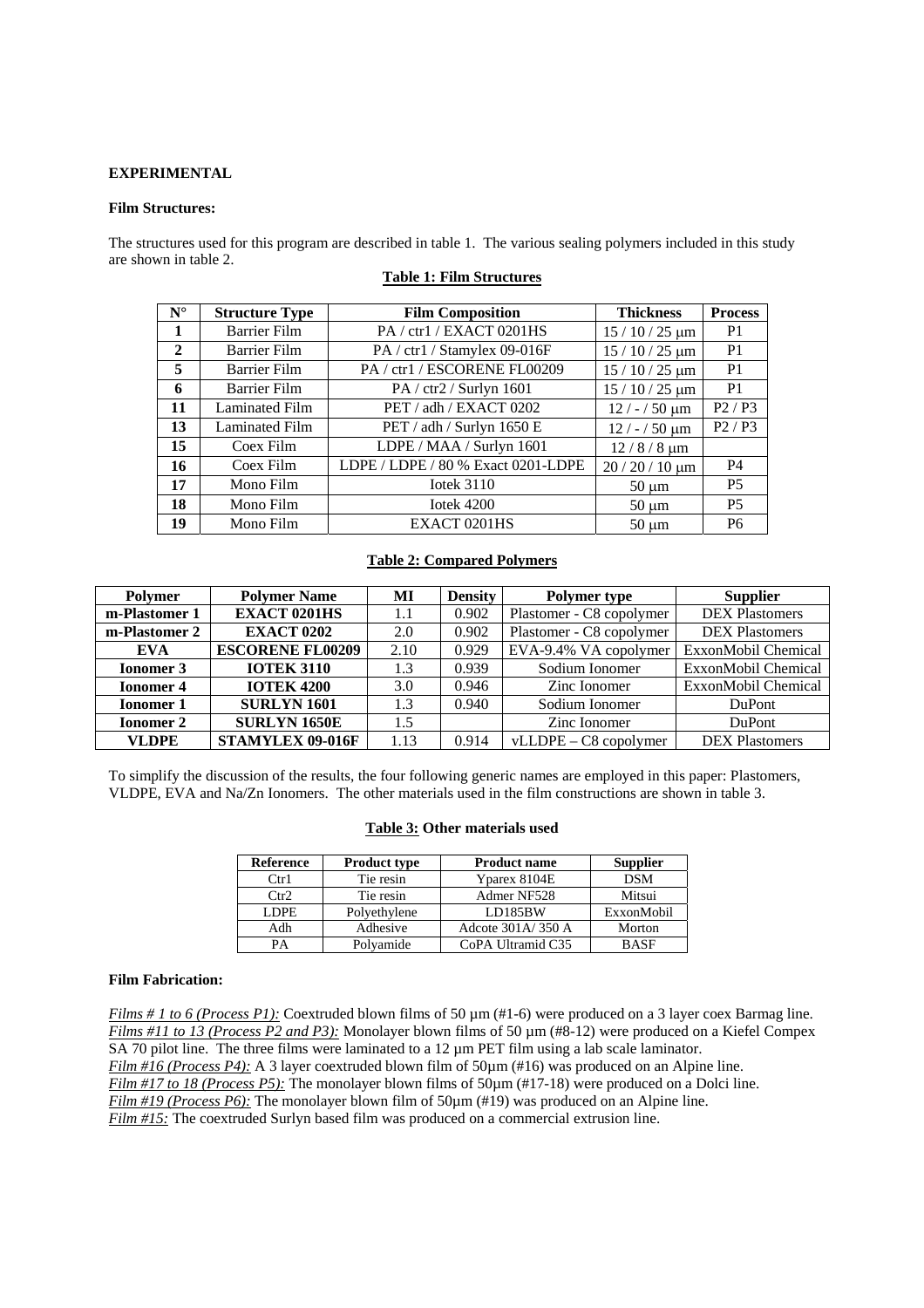### **EXPERIMENTAL**

### **Film Structures:**

The structures used for this program are described in table 1. The various sealing polymers included in this study are shown in table 2.

| $N^{\circ}$  | <b>Structure Type</b> | <b>Film Composition</b>            | <b>Thickness</b>   | <b>Process</b> |
|--------------|-----------------------|------------------------------------|--------------------|----------------|
| -1           | <b>Barrier Film</b>   | PA/ctr1/EXACT 0201HS               | $15/10/25 \ \mu m$ | P <sub>1</sub> |
| $\mathbf{2}$ | <b>Barrier Film</b>   | PA / ctr1 / Stamylex 09-016F       | $15/10/25 \ \mu m$ | P <sub>1</sub> |
| 5            | <b>Barrier Film</b>   | PA / ctr1 / ESCORENE FL00209       | $15/10/25 \ \mu m$ | P <sub>1</sub> |
| 6            | <b>Barrier Film</b>   | PA / ctr2 / Surlyn 1601            | $15/10/25 \ \mu m$ | P <sub>1</sub> |
| 11           | Laminated Film        | PET / adh / EXACT 0202             | $12 / - 50 \mu m$  | P2/P3          |
| 13           | Laminated Film        | PET / adh / Surlyn 1650 E          | $12 / - 50 \mu m$  | P2/P3          |
| 15           | Coex Film             | LDPE / MAA / Surlyn 1601           | $12/8/8 \mu m$     |                |
| 16           | Coex Film             | LDPE / LDPE / 80 % Exact 0201-LDPE | $20/20/10 \mu m$   | <b>P4</b>      |
| 17           | Mono Film             | Iotek $3110$                       | $50 \mu m$         | <b>P5</b>      |
| 18           | Mono Film             | Iotek $4200$                       | $50 \mu m$         | <b>P5</b>      |
| 19           | Mono Film             | EXACT 0201HS                       | $50 \mu m$         | P <sub>6</sub> |

### **Table 1: Film Structures**

# **Table 2: Compared Polymers**

| <b>Polymer</b>                               | <b>Polymer Name</b><br>MI |       | <b>Density</b> | <b>Polymer type</b>      | <b>Supplier</b>       |  |
|----------------------------------------------|---------------------------|-------|----------------|--------------------------|-----------------------|--|
| m-Plastomer 1                                | <b>EXACT 0201HS</b>       |       | 0.902          | Plastomer - C8 copolymer | <b>DEX Plastomers</b> |  |
| <b>EXACT 0202</b><br>m-Plastomer 2           |                           | 2.0   | 0.902          | Plastomer - C8 copolymer | <b>DEX Plastomers</b> |  |
| EVA                                          | <b>ESCORENE FL00209</b>   | 2.10  | 0.929          | EVA-9.4% VA copolymer    | ExxonMobil Chemical   |  |
| <b>IOTEK 3110</b><br><b>Ionomer 3</b>        |                           | 1.3   | 0.939          | Sodium Ionomer           | ExxonMobil Chemical   |  |
| <b>IOTEK 4200</b><br><b>Ionomer 4</b><br>3.0 |                           | 0.946 | Zinc Ionomer   | ExxonMobil Chemical      |                       |  |
| <b>Ionomer 1</b>                             | <b>SURLYN 1601</b>        | 1.3   | 0.940          | Sodium Ionomer           | DuPont                |  |
| <b>Ionomer 2</b>                             | <b>SURLYN 1650E</b>       | 1.5   |                | Zinc Ionomer             | DuPont                |  |
| <b>VLDPE</b>                                 | STAMYLEX 09-016F          | 1.13  | 0.914          | $vLLDPE - C8 copolymer$  | <b>DEX Plastomers</b> |  |

To simplify the discussion of the results, the four following generic names are employed in this paper: Plastomers, VLDPE, EVA and Na/Zn Ionomers. The other materials used in the film constructions are shown in table 3.

## **Table 3: Other materials used**

| <b>Reference</b> | <b>Product type</b> | <b>Product name</b> | <b>Supplier</b> |
|------------------|---------------------|---------------------|-----------------|
| $C$ tr $1$       | Tie resin           | Yparex 8104E        | <b>DSM</b>      |
| Ctr2             | Tie resin           | Admer NF528         | Mitsui          |
| LDPE             | Polyethylene        | <b>LD185BW</b>      | ExxonMobil      |
| Adh              | Adhesive            | Adcote 301A/350 A   | Morton          |
| PA               | Polyamide           | CoPA Ultramid C35   | <b>BASE</b>     |

### **Film Fabrication:**

*Films # 1 to 6 (Process P1):* Coextruded blown films of 50  $\mu$ m (#1-6) were produced on a 3 layer coex Barmag line. *Films #11 to 13 (Process P2 and P3):* Monolayer blown films of 50  $\mu$ m (#8-12) were produced on a Kiefel Compex SA 70 pilot line. The three films were laminated to a 12  $\mu$ m PET film using a lab scale laminator. *Film #16 (Process P4):* A 3 layer coextruded blown film of 50 $\mu$ m (#16) was produced on an Alpine line. *Film #17 to 18 (Process P5):* The monolayer blown films of  $50\mu$ m (#17-18) were produced on a Dolci line. *Film #19 (Process P6):* The monolayer blown film of 50µm (#19) was produced on an Alpine line. *Film #15:* The coextruded Surlyn based film was produced on a commercial extrusion line.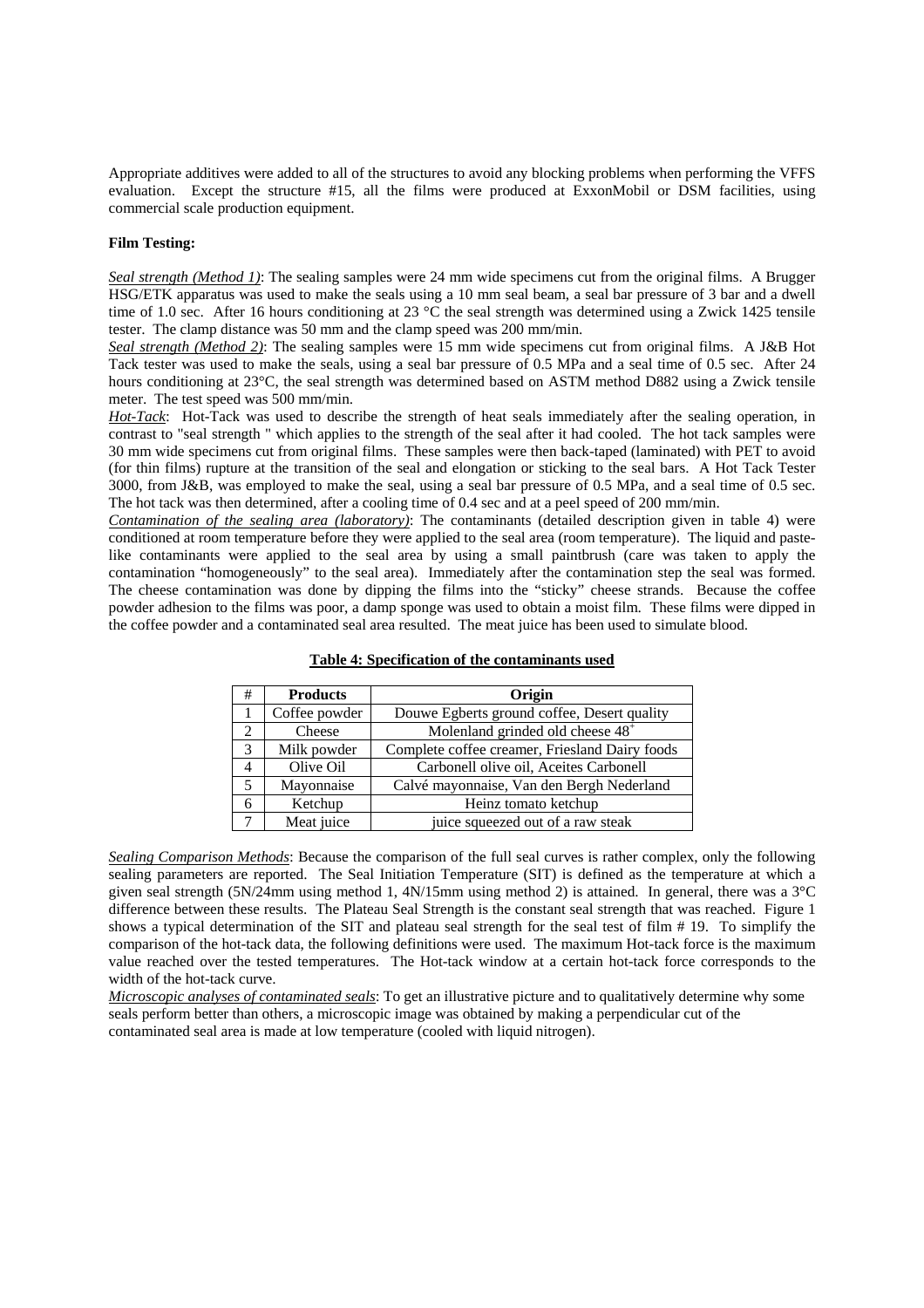Appropriate additives were added to all of the structures to avoid any blocking problems when performing the VFFS evaluation. Except the structure #15, all the films were produced at ExxonMobil or DSM facilities, using commercial scale production equipment.

### **Film Testing:**

*Seal strength (Method 1)*: The sealing samples were 24 mm wide specimens cut from the original films. A Brugger HSG/ETK apparatus was used to make the seals using a 10 mm seal beam, a seal bar pressure of 3 bar and a dwell time of 1.0 sec. After 16 hours conditioning at 23 °C the seal strength was determined using a Zwick 1425 tensile tester. The clamp distance was 50 mm and the clamp speed was 200 mm/min.

*Seal strength (Method 2)*: The sealing samples were 15 mm wide specimens cut from original films. A J&B Hot Tack tester was used to make the seals, using a seal bar pressure of 0.5 MPa and a seal time of 0.5 sec. After 24 hours conditioning at 23°C, the seal strength was determined based on ASTM method D882 using a Zwick tensile meter. The test speed was 500 mm/min.

*Hot-Tack*: Hot-Tack was used to describe the strength of heat seals immediately after the sealing operation, in contrast to "seal strength " which applies to the strength of the seal after it had cooled. The hot tack samples were 30 mm wide specimens cut from original films. These samples were then back-taped (laminated) with PET to avoid (for thin films) rupture at the transition of the seal and elongation or sticking to the seal bars. A Hot Tack Tester 3000, from J&B, was employed to make the seal, using a seal bar pressure of 0.5 MPa, and a seal time of 0.5 sec. The hot tack was then determined, after a cooling time of 0.4 sec and at a peel speed of 200 mm/min.

*Contamination of the sealing area (laboratory)*: The contaminants (detailed description given in table 4) were conditioned at room temperature before they were applied to the seal area (room temperature). The liquid and pastelike contaminants were applied to the seal area by using a small paintbrush (care was taken to apply the contamination "homogeneously" to the seal area). Immediately after the contamination step the seal was formed. The cheese contamination was done by dipping the films into the "sticky" cheese strands. Because the coffee powder adhesion to the films was poor, a damp sponge was used to obtain a moist film. These films were dipped in the coffee powder and a contaminated seal area resulted. The meat juice has been used to simulate blood.

| #                           | <b>Products</b> | Origin                                         |
|-----------------------------|-----------------|------------------------------------------------|
|                             | Coffee powder   | Douwe Egberts ground coffee, Desert quality    |
| $\mathcal{D}_{\mathcal{L}}$ | Cheese          | Molenland grinded old cheese 48 <sup>+</sup>   |
| 3                           | Milk powder     | Complete coffee creamer, Friesland Dairy foods |
|                             | Olive Oil       | Carbonell olive oil, Aceites Carbonell         |
|                             | Mayonnaise      | Calvé mayonnaise, Van den Bergh Nederland      |
| 6                           | Ketchup         | Heinz tomato ketchup                           |
|                             | Meat juice      | juice squeezed out of a raw steak              |

## **Table 4: Specification of the contaminants used**

*Sealing Comparison Methods*: Because the comparison of the full seal curves is rather complex, only the following sealing parameters are reported. The Seal Initiation Temperature (SIT) is defined as the temperature at which a given seal strength (5N/24mm using method 1, 4N/15mm using method 2) is attained. In general, there was a 3°C difference between these results. The Plateau Seal Strength is the constant seal strength that was reached. Figure 1 shows a typical determination of the SIT and plateau seal strength for the seal test of film # 19. To simplify the comparison of the hot-tack data, the following definitions were used. The maximum Hot-tack force is the maximum value reached over the tested temperatures. The Hot-tack window at a certain hot-tack force corresponds to the width of the hot-tack curve.

*Microscopic analyses of contaminated seals*: To get an illustrative picture and to qualitatively determine why some seals perform better than others, a microscopic image was obtained by making a perpendicular cut of the contaminated seal area is made at low temperature (cooled with liquid nitrogen).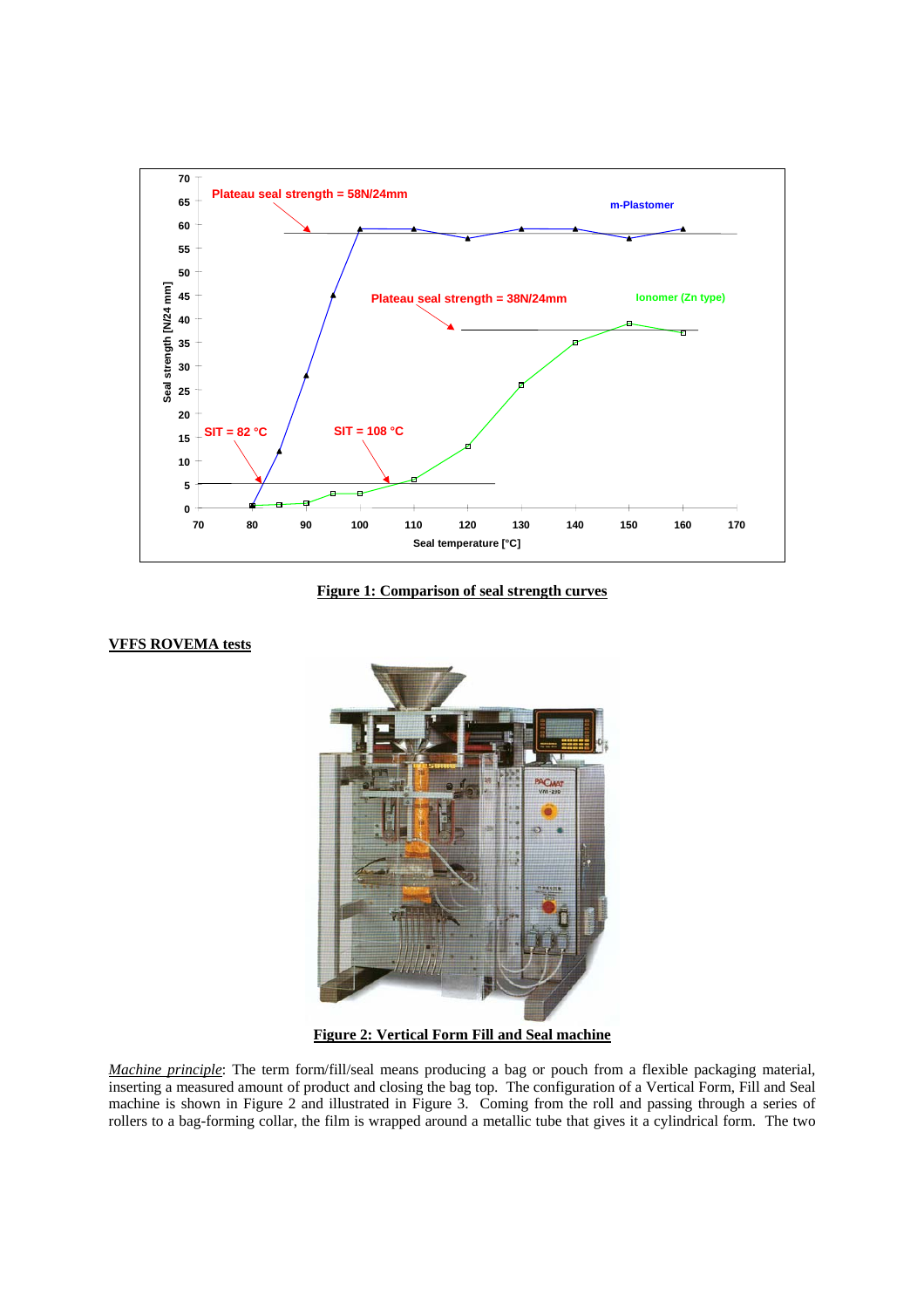

**Figure 1: Comparison of seal strength curves**

## **VFFS ROVEMA tests**



**Figure 2: Vertical Form Fill and Seal machine**

*Machine principle*: The term form/fill/seal means producing a bag or pouch from a flexible packaging material, inserting a measured amount of product and closing the bag top. The configuration of a Vertical Form, Fill and Seal machine is shown in Figure 2 and illustrated in Figure 3. Coming from the roll and passing through a series of rollers to a bag-forming collar, the film is wrapped around a metallic tube that gives it a cylindrical form. The two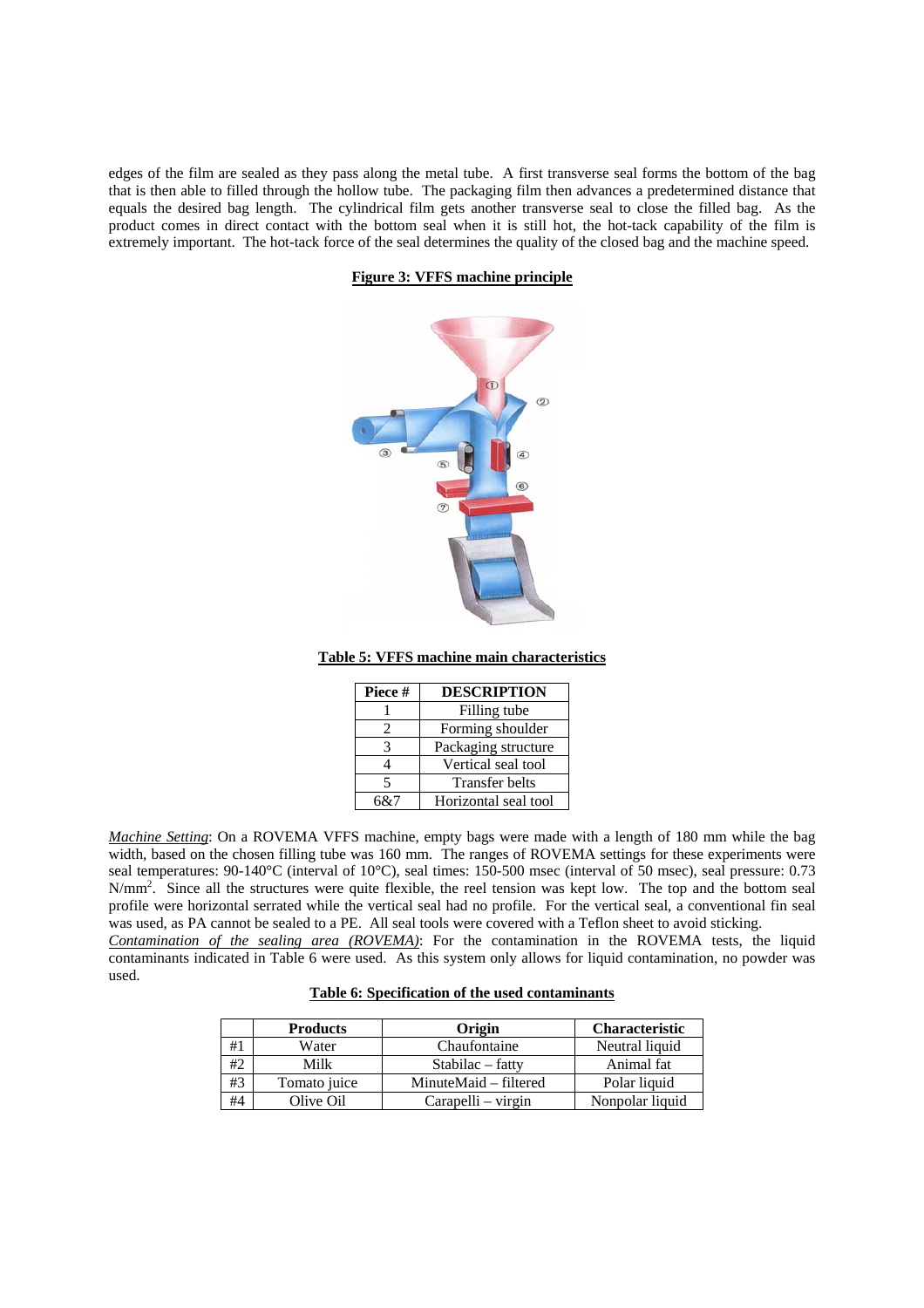edges of the film are sealed as they pass along the metal tube. A first transverse seal forms the bottom of the bag that is then able to filled through the hollow tube. The packaging film then advances a predetermined distance that equals the desired bag length. The cylindrical film gets another transverse seal to close the filled bag. As the product comes in direct contact with the bottom seal when it is still hot, the hot-tack capability of the film is extremely important. The hot-tack force of the seal determines the quality of the closed bag and the machine speed.

**Figure 3: VFFS machine principle**



**Table 5: VFFS machine main characteristics**

| Piece #                     | <b>DESCRIPTION</b>   |
|-----------------------------|----------------------|
|                             | Filling tube         |
| $\mathcal{D}_{\mathcal{L}}$ | Forming shoulder     |
|                             | Packaging structure  |
|                             | Vertical seal tool   |
| 5                           | Transfer belts       |
| 6&7                         | Horizontal seal tool |

*Machine Setting*: On a ROVEMA VFFS machine, empty bags were made with a length of 180 mm while the bag width, based on the chosen filling tube was 160 mm. The ranges of ROVEMA settings for these experiments were seal temperatures: 90-140°C (interval of 10°C), seal times: 150-500 msec (interval of 50 msec), seal pressure: 0.73 N/mm<sup>2</sup>. Since all the structures were quite flexible, the reel tension was kept low. The top and the bottom seal profile were horizontal serrated while the vertical seal had no profile. For the vertical seal, a conventional fin seal was used, as PA cannot be sealed to a PE. All seal tools were covered with a Teflon sheet to avoid sticking.

*Contamination of the sealing area (ROVEMA)*: For the contamination in the ROVEMA tests, the liquid contaminants indicated in Table 6 were used. As this system only allows for liquid contamination, no powder was used.

# **Table 6: Specification of the used contaminants**

|    | <b>Products</b> | Origin                | <b>Characteristic</b> |
|----|-----------------|-----------------------|-----------------------|
| #1 | Water           | Chaufontaine          | Neutral liquid        |
| #2 | Milk            | Stabilac – fatty      | Animal fat            |
| #3 | Tomato juice    | MinuteMaid – filtered | Polar liquid          |
| #4 | Olive Oil       | Carapelli – virgin    | Nonpolar liquid       |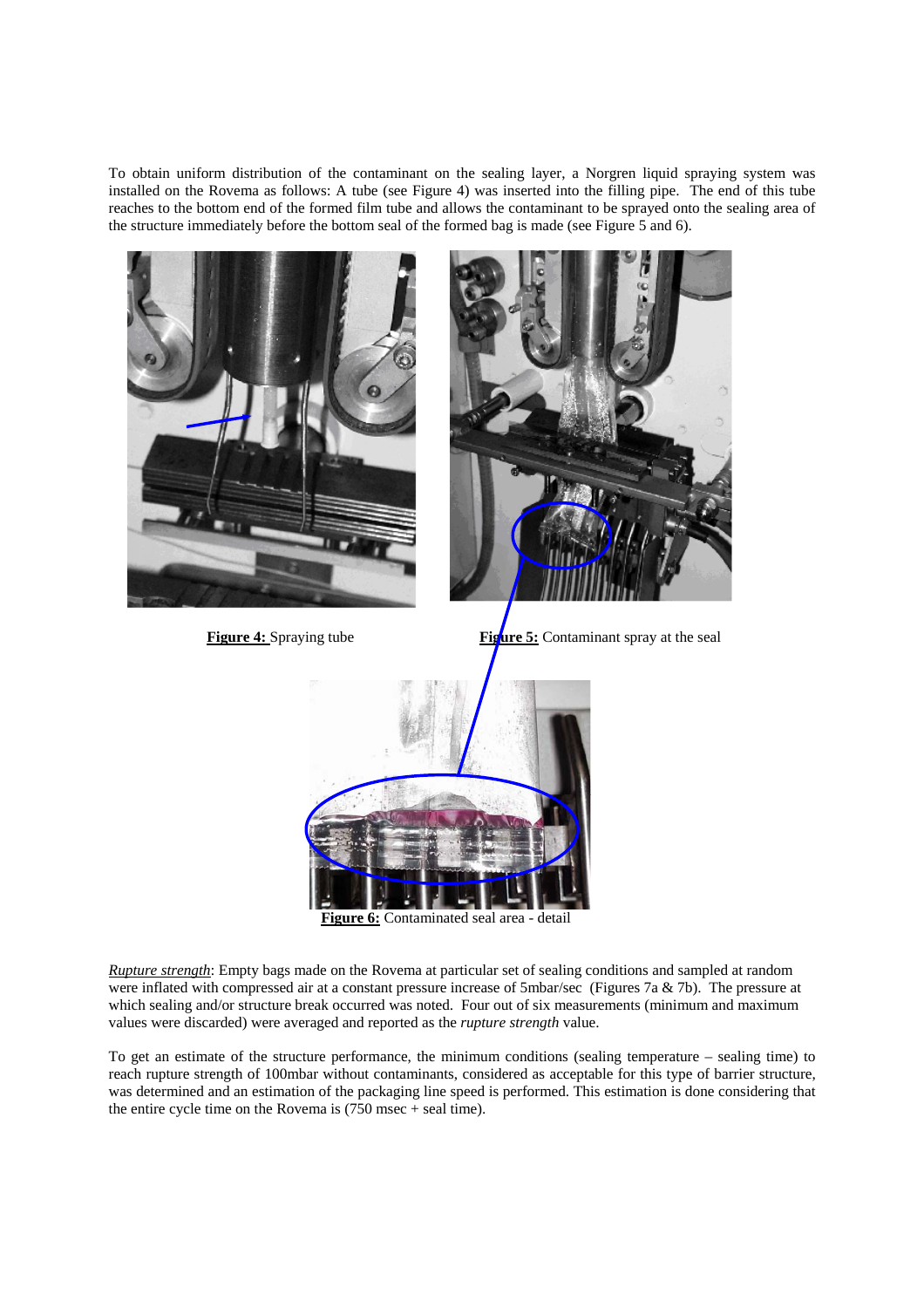To obtain uniform distribution of the contaminant on the sealing layer, a Norgren liquid spraying system was installed on the Rovema as follows: A tube (see Figure 4) was inserted into the filling pipe. The end of this tube reaches to the bottom end of the formed film tube and allows the contaminant to be sprayed onto the sealing area of the structure immediately before the bottom seal of the formed bag is made (see Figure 5 and 6).



*Rupture strength*: Empty bags made on the Rovema at particular set of sealing conditions and sampled at random were inflated with compressed air at a constant pressure increase of 5mbar/sec (Figures 7a & 7b). The pressure at which sealing and/or structure break occurred was noted. Four out of six measurements (minimum and maximum values were discarded) were averaged and reported as the *rupture strength* value.

To get an estimate of the structure performance, the minimum conditions (sealing temperature – sealing time) to reach rupture strength of 100mbar without contaminants, considered as acceptable for this type of barrier structure, was determined and an estimation of the packaging line speed is performed. This estimation is done considering that the entire cycle time on the Rovema is (750 msec + seal time).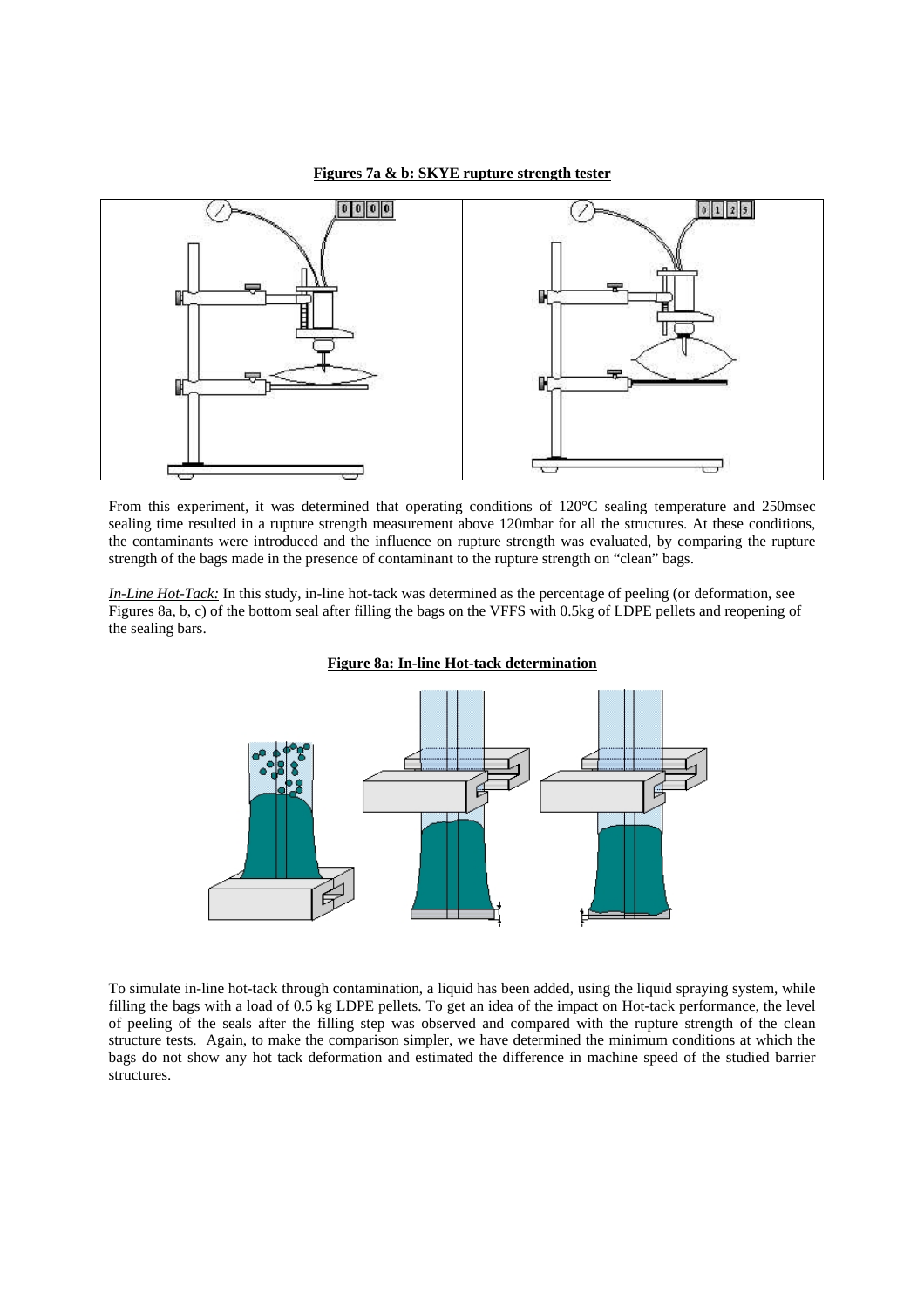### **Figures 7a & b: SKYE rupture strength tester**



From this experiment, it was determined that operating conditions of 120°C sealing temperature and 250msec sealing time resulted in a rupture strength measurement above 120mbar for all the structures. At these conditions, the contaminants were introduced and the influence on rupture strength was evaluated, by comparing the rupture strength of the bags made in the presence of contaminant to the rupture strength on "clean" bags.

*In-Line Hot-Tack:* In this study, in-line hot-tack was determined as the percentage of peeling (or deformation, see Figures 8a, b, c) of the bottom seal after filling the bags on the VFFS with 0.5kg of LDPE pellets and reopening of the sealing bars.



## **Figure 8a: In-line Hot-tack determination**

To simulate in-line hot-tack through contamination, a liquid has been added, using the liquid spraying system, while filling the bags with a load of 0.5 kg LDPE pellets. To get an idea of the impact on Hot-tack performance, the level of peeling of the seals after the filling step was observed and compared with the rupture strength of the clean structure tests. Again, to make the comparison simpler, we have determined the minimum conditions at which the bags do not show any hot tack deformation and estimated the difference in machine speed of the studied barrier structures.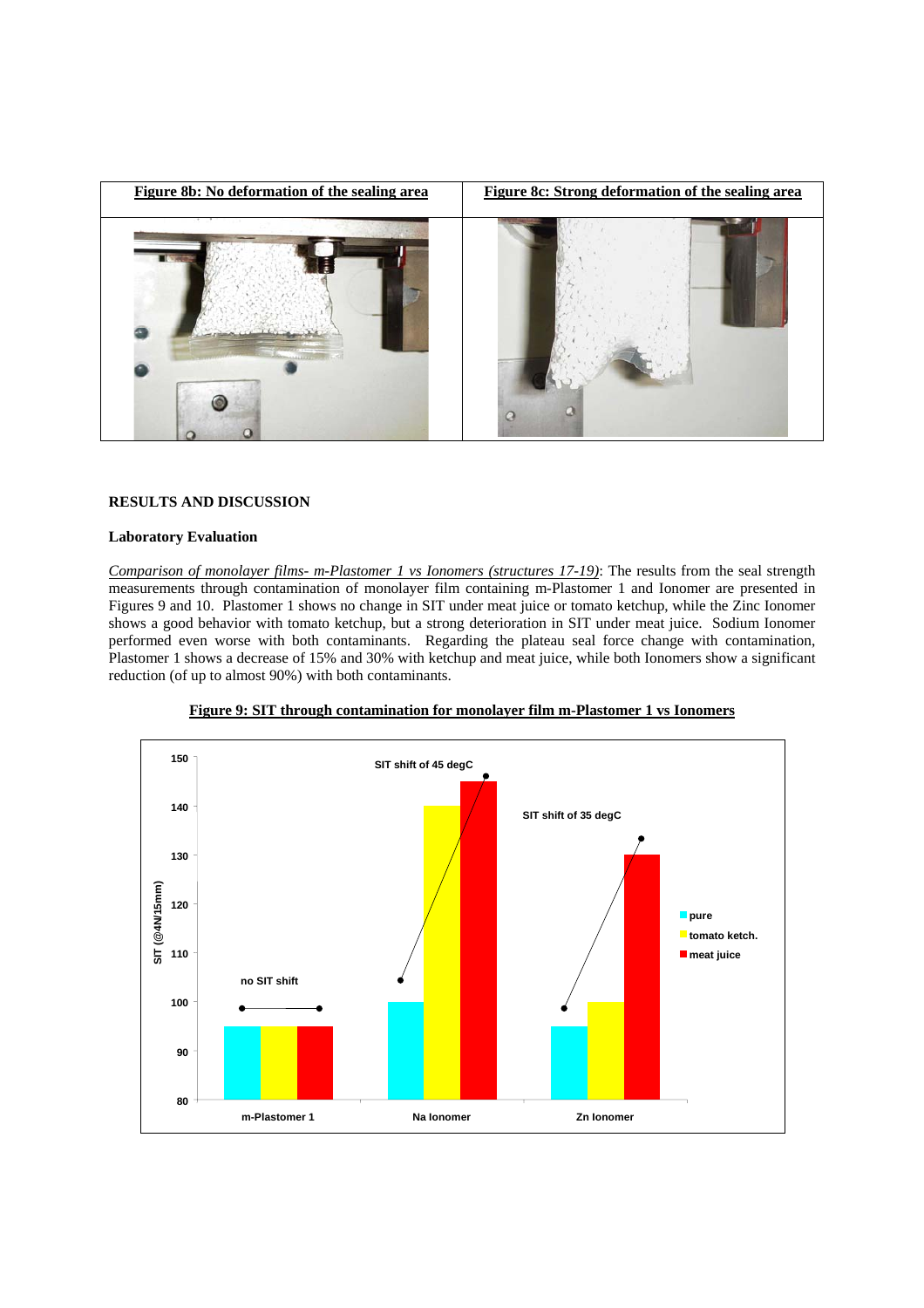

# **RESULTS AND DISCUSSION**

## **Laboratory Evaluation**

*Comparison of monolayer films- m-Plastomer 1 vs Ionomers (structures 17-19)*: The results from the seal strength measurements through contamination of monolayer film containing m-Plastomer 1 and Ionomer are presented in Figures 9 and 10. Plastomer 1 shows no change in SIT under meat juice or tomato ketchup, while the Zinc Ionomer shows a good behavior with tomato ketchup, but a strong deterioration in SIT under meat juice. Sodium Ionomer performed even worse with both contaminants. Regarding the plateau seal force change with contamination, Plastomer 1 shows a decrease of 15% and 30% with ketchup and meat juice, while both Ionomers show a significant reduction (of up to almost 90%) with both contaminants.



**Figure 9: SIT through contamination for monolayer film m-Plastomer 1 vs Ionomers**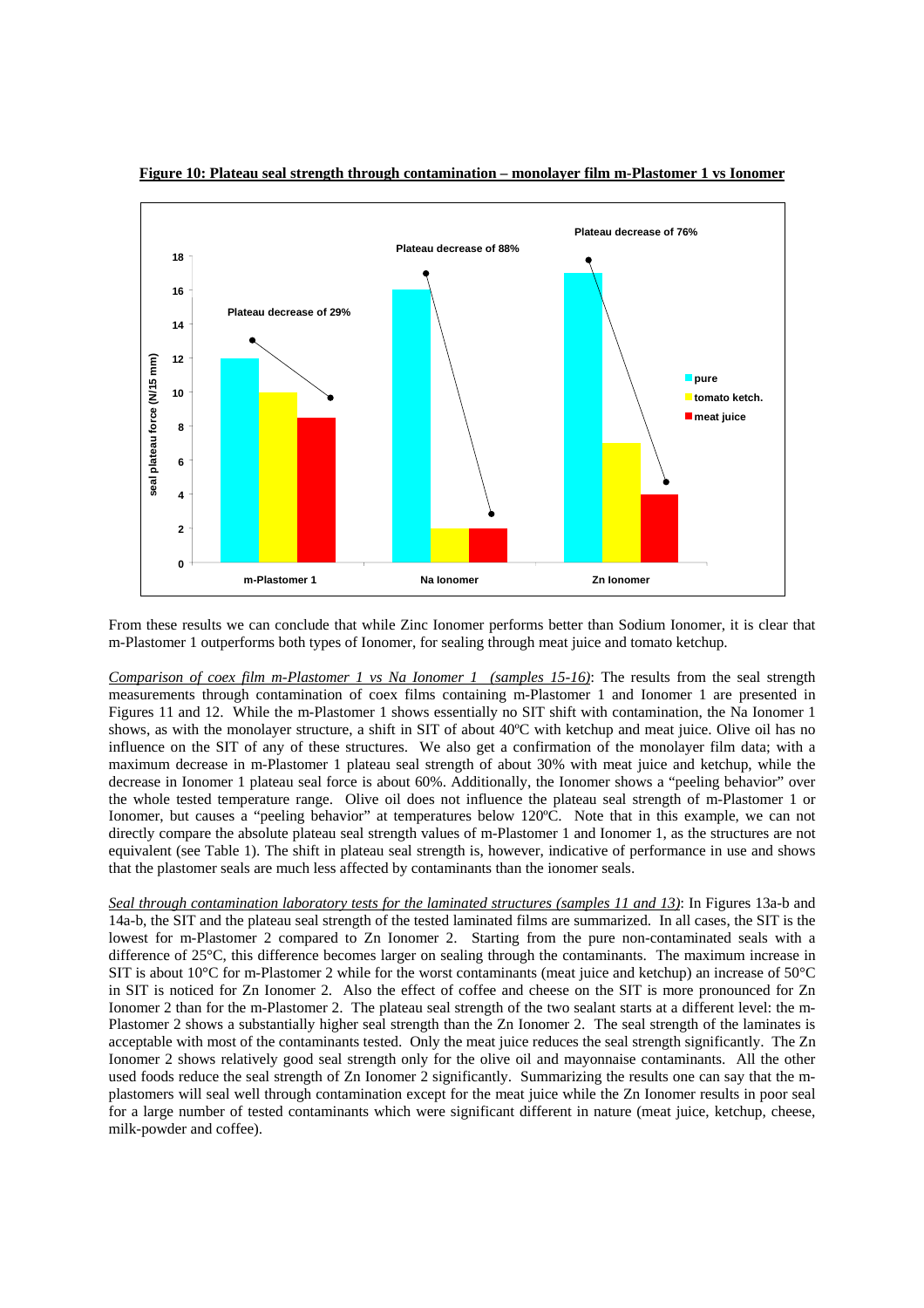

**Figure 10: Plateau seal strength through contamination – monolayer film m-Plastomer 1 vs Ionomer**

From these results we can conclude that while Zinc Ionomer performs better than Sodium Ionomer, it is clear that m-Plastomer 1 outperforms both types of Ionomer, for sealing through meat juice and tomato ketchup.

*Comparison of coex film m-Plastomer 1 vs Na Ionomer 1 (samples 15-16)*: The results from the seal strength measurements through contamination of coex films containing m-Plastomer 1 and Ionomer 1 are presented in Figures 11 and 12. While the m-Plastomer 1 shows essentially no SIT shift with contamination, the Na Ionomer 1 shows, as with the monolayer structure, a shift in SIT of about 40ºC with ketchup and meat juice. Olive oil has no influence on the SIT of any of these structures. We also get a confirmation of the monolayer film data; with a maximum decrease in m-Plastomer 1 plateau seal strength of about 30% with meat juice and ketchup, while the decrease in Ionomer 1 plateau seal force is about 60%. Additionally, the Ionomer shows a "peeling behavior" over the whole tested temperature range. Olive oil does not influence the plateau seal strength of m-Plastomer 1 or Ionomer, but causes a "peeling behavior" at temperatures below 120°C. Note that in this example, we can not directly compare the absolute plateau seal strength values of m-Plastomer 1 and Ionomer 1, as the structures are not equivalent (see Table 1). The shift in plateau seal strength is, however, indicative of performance in use and shows that the plastomer seals are much less affected by contaminants than the ionomer seals.

*Seal through contamination laboratory tests for the laminated structures (samples 11 and 13)*: In Figures 13a-b and 14a-b, the SIT and the plateau seal strength of the tested laminated films are summarized. In all cases, the SIT is the lowest for m-Plastomer 2 compared to Zn Ionomer 2. Starting from the pure non-contaminated seals with a difference of 25°C, this difference becomes larger on sealing through the contaminants. The maximum increase in SIT is about 10°C for m-Plastomer 2 while for the worst contaminants (meat juice and ketchup) an increase of 50°C in SIT is noticed for Zn Ionomer 2. Also the effect of coffee and cheese on the SIT is more pronounced for Zn Ionomer 2 than for the m-Plastomer 2. The plateau seal strength of the two sealant starts at a different level: the m-Plastomer 2 shows a substantially higher seal strength than the Zn Ionomer 2. The seal strength of the laminates is acceptable with most of the contaminants tested. Only the meat juice reduces the seal strength significantly. The Zn Ionomer 2 shows relatively good seal strength only for the olive oil and mayonnaise contaminants. All the other used foods reduce the seal strength of Zn Ionomer 2 significantly. Summarizing the results one can say that the mplastomers will seal well through contamination except for the meat juice while the Zn Ionomer results in poor seal for a large number of tested contaminants which were significant different in nature (meat juice, ketchup, cheese, milk-powder and coffee).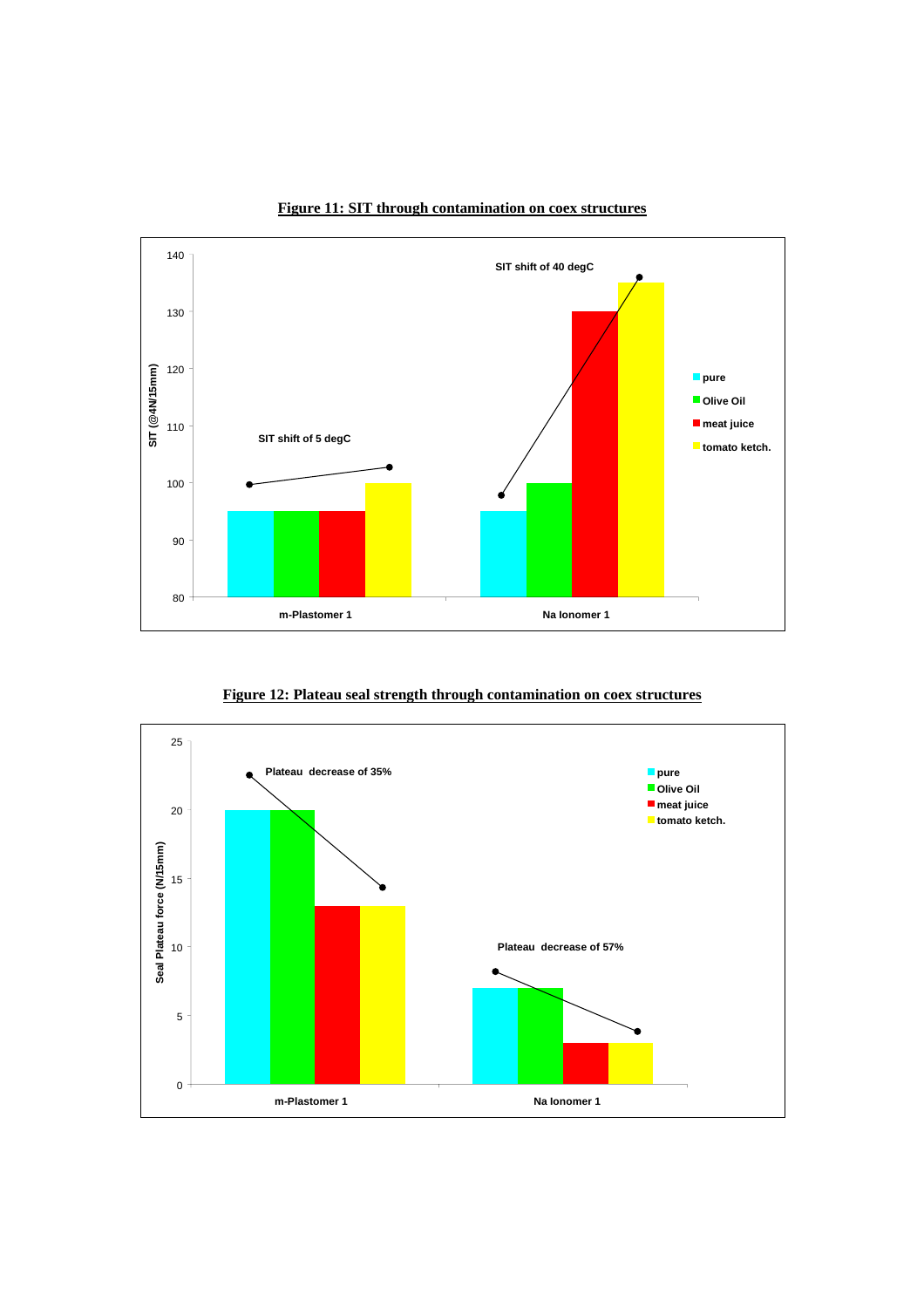

**Figure 11: SIT through contamination on coex structures**

**Figure 12: Plateau seal strength through contamination on coex structures**

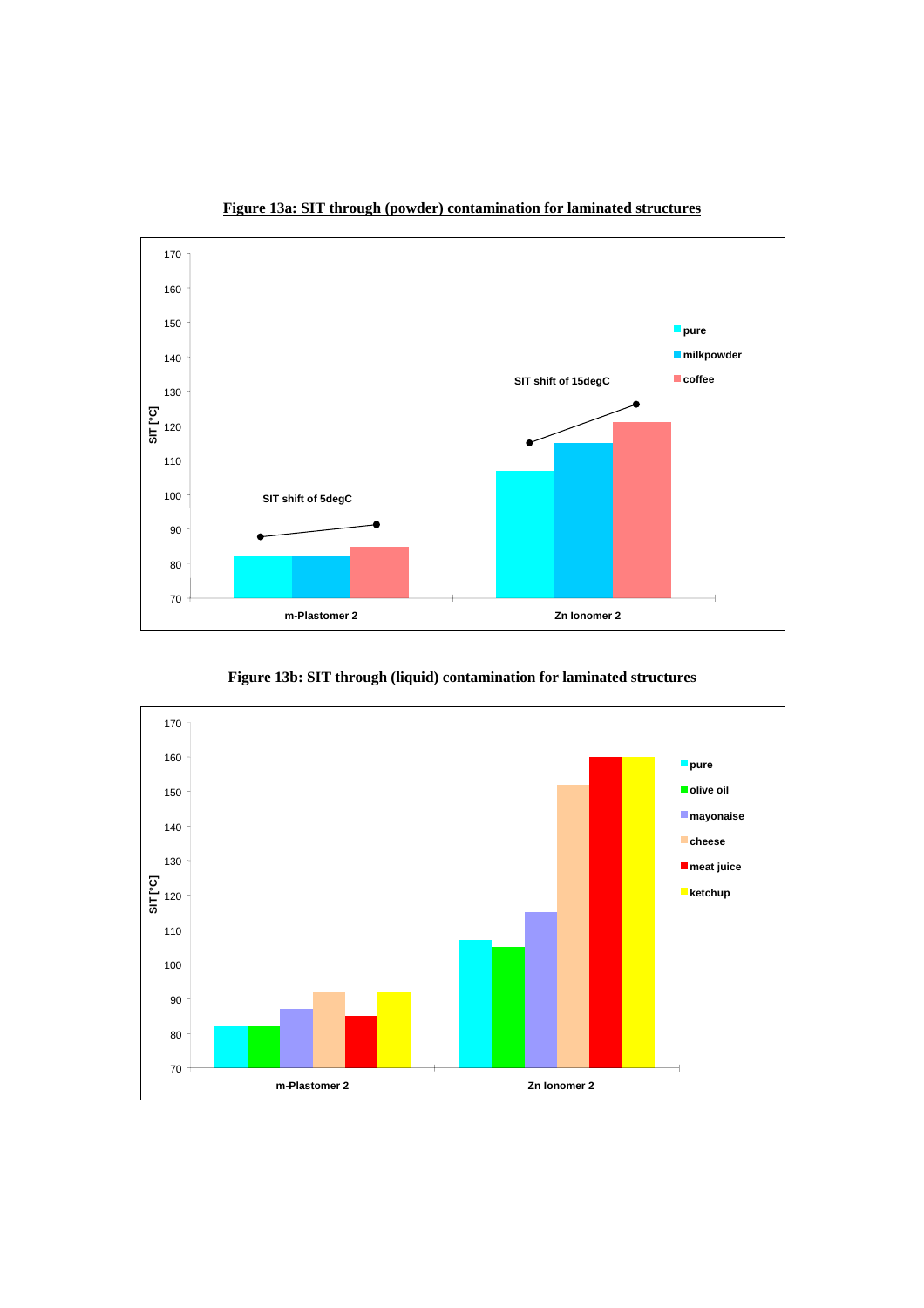

**Figure 13a: SIT through (powder) contamination for laminated structures**

**Figure 13b: SIT through (liquid) contamination for laminated structures**

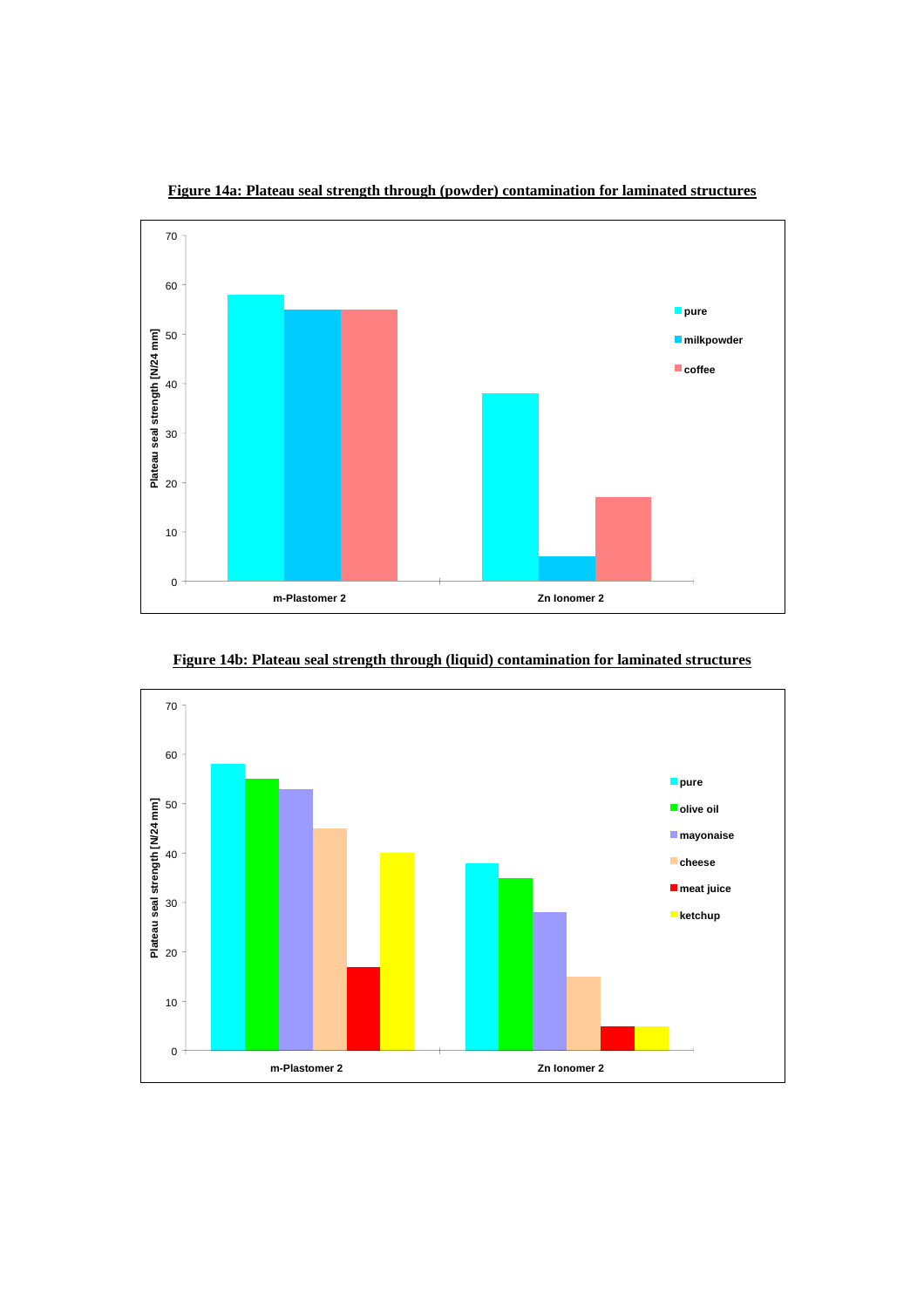

**Figure 14a: Plateau seal strength through (powder) contamination for laminated structures**



**Figure 14b: Plateau seal strength through (liquid) contamination for laminated structures**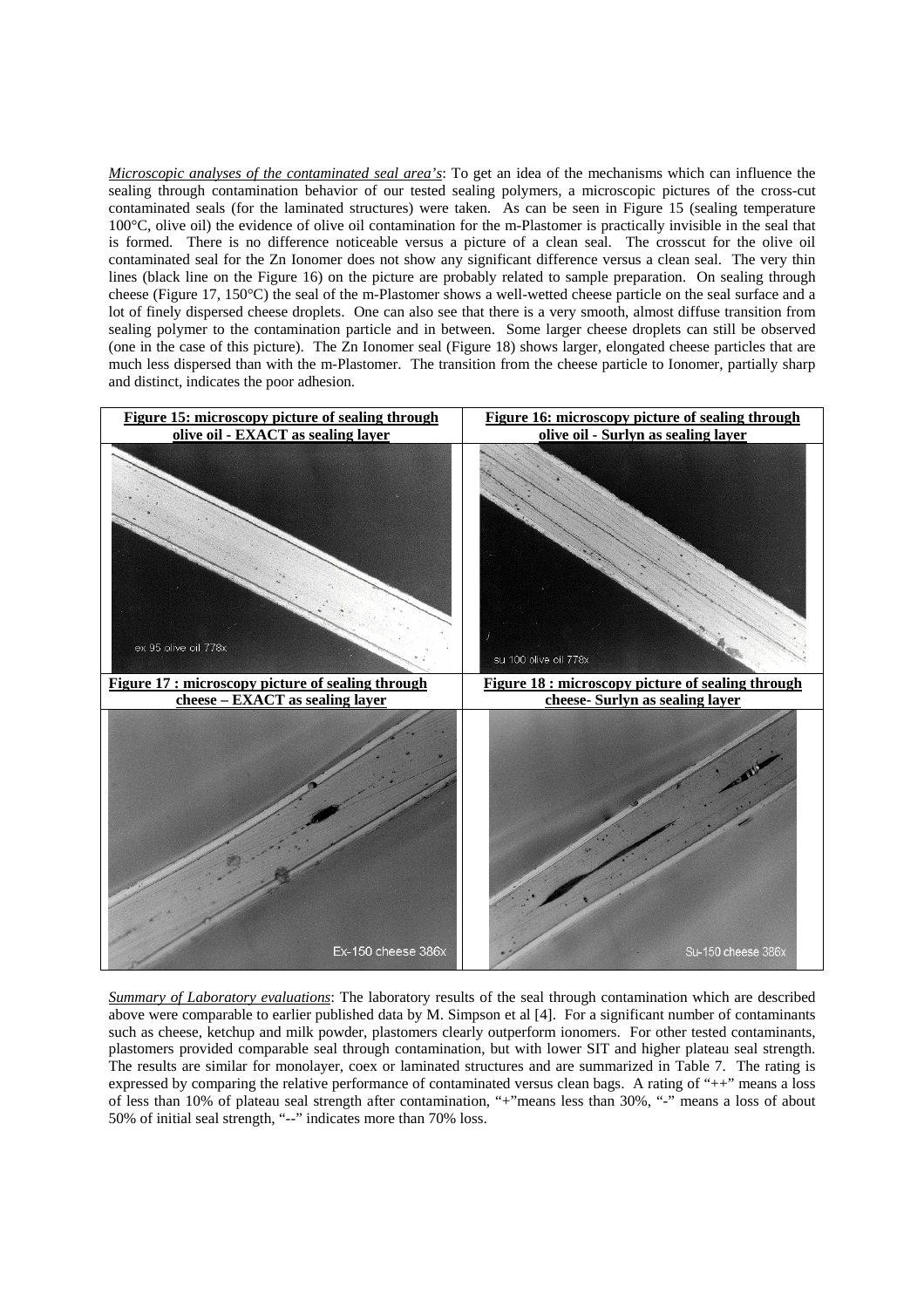*Microscopic analyses of the contaminated seal area's*: To get an idea of the mechanisms which can influence the sealing through contamination behavior of our tested sealing polymers, a microscopic pictures of the cross-cut contaminated seals (for the laminated structures) were taken. As can be seen in Figure 15 (sealing temperature 100°C, olive oil) the evidence of olive oil contamination for the m-Plastomer is practically invisible in the seal that is formed. There is no difference noticeable versus a picture of a clean seal. The crosscut for the olive oil contaminated seal for the Zn Ionomer does not show any significant difference versus a clean seal. The very thin lines (black line on the Figure 16) on the picture are probably related to sample preparation. On sealing through cheese (Figure 17, 150°C) the seal of the m-Plastomer shows a well-wetted cheese particle on the seal surface and a lot of finely dispersed cheese droplets. One can also see that there is a very smooth, almost diffuse transition from sealing polymer to the contamination particle and in between. Some larger cheese droplets can still be observed (one in the case of this picture). The Zn Ionomer seal (Figure 18) shows larger, elongated cheese particles that are much less dispersed than with the m-Plastomer. The transition from the cheese particle to Ionomer, partially sharp and distinct, indicates the poor adhesion.



*Summary of Laboratory evaluations*: The laboratory results of the seal through contamination which are described above were comparable to earlier published data by M. Simpson et al [4]. For a significant number of contaminants such as cheese, ketchup and milk powder, plastomers clearly outperform ionomers. For other tested contaminants, plastomers provided comparable seal through contamination, but with lower SIT and higher plateau seal strength. The results are similar for monolayer, coex or laminated structures and are summarized in Table 7. The rating is expressed by comparing the relative performance of contaminated versus clean bags. A rating of "++" means a loss of less than 10% of plateau seal strength after contamination, "+"means less than 30%, "-" means a loss of about 50% of initial seal strength, "--" indicates more than 70% loss.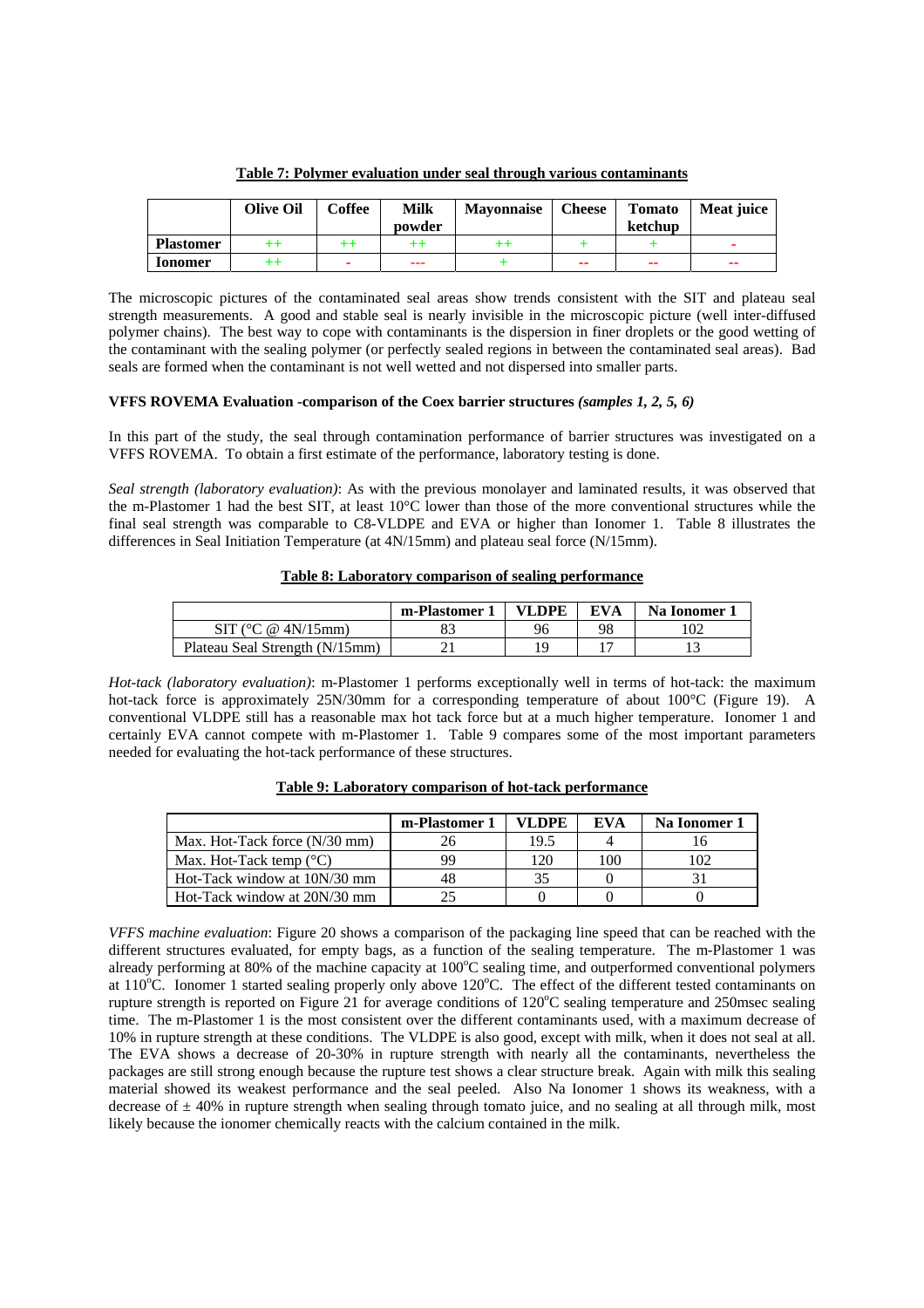|                  | <b>Olive Oil</b> | Coffee  | Milk<br>powder | <b>Mavonnaise</b> | <b>Cheese</b> | <b>Tomato</b><br>ketchup | Meat juice |
|------------------|------------------|---------|----------------|-------------------|---------------|--------------------------|------------|
| <b>Plastomer</b> | $^{\mathrm{++}}$ | $^{++}$ | $^{++}$        | ++                |               |                          |            |
| <b>Lonomer</b>   | ++               |         | ---            |                   | --            | --                       | --         |

**Table 7: Polymer evaluation under seal through various contaminants**

The microscopic pictures of the contaminated seal areas show trends consistent with the SIT and plateau seal strength measurements. A good and stable seal is nearly invisible in the microscopic picture (well inter-diffused polymer chains). The best way to cope with contaminants is the dispersion in finer droplets or the good wetting of the contaminant with the sealing polymer (or perfectly sealed regions in between the contaminated seal areas). Bad seals are formed when the contaminant is not well wetted and not dispersed into smaller parts.

# **VFFS ROVEMA Evaluation -comparison of the Coex barrier structures** *(samples 1, 2, 5, 6)*

In this part of the study, the seal through contamination performance of barrier structures was investigated on a VFFS ROVEMA. To obtain a first estimate of the performance, laboratory testing is done.

*Seal strength (laboratory evaluation)*: As with the previous monolayer and laminated results, it was observed that the m-Plastomer 1 had the best SIT, at least 10°C lower than those of the more conventional structures while the final seal strength was comparable to C8-VLDPE and EVA or higher than Ionomer 1. Table 8 illustrates the differences in Seal Initiation Temperature (at 4N/15mm) and plateau seal force (N/15mm).

# **Table 8: Laboratory comparison of sealing performance**

|                                | m-Plastomer | <b>VLDPE</b> | EVA | Na Ionomer 1 |
|--------------------------------|-------------|--------------|-----|--------------|
| SIT ( $^{\circ}$ C @ 4N/15mm)  |             | 96           | 98  |              |
| Plateau Seal Strength (N/15mm) |             |              |     |              |

*Hot-tack (laboratory evaluation)*: m-Plastomer 1 performs exceptionally well in terms of hot-tack: the maximum hot-tack force is approximately 25N/30mm for a corresponding temperature of about 100°C (Figure 19). A conventional VLDPE still has a reasonable max hot tack force but at a much higher temperature. Ionomer 1 and certainly EVA cannot compete with m-Plastomer 1. Table 9 compares some of the most important parameters needed for evaluating the hot-tack performance of these structures.

|                                  | m-Plastomer 1 | VL DPE | EVA | Na Ionomer 1 |
|----------------------------------|---------------|--------|-----|--------------|
| Max. Hot-Tack force (N/30 mm)    |               | 19.5   |     |              |
| Max. Hot-Tack temp $(^{\circ}C)$ | 99            | 120    | 100 | 102          |
| Hot-Tack window at 10N/30 mm     |               |        |     |              |
| Hot-Tack window at 20N/30 mm     |               |        |     |              |

**Table 9: Laboratory comparison of hot-tack performance**

*VFFS machine evaluation*: Figure 20 shows a comparison of the packaging line speed that can be reached with the different structures evaluated, for empty bags, as a function of the sealing temperature. The m-Plastomer 1 was already performing at 80% of the machine capacity at 100°C sealing time, and outperformed conventional polymers at 110°C. Ionomer 1 started sealing properly only above 120°C. The effect of the different tested contaminants on rupture strength is reported on Figure 21 for average conditions of  $120^{\circ}$ C sealing temperature and 250msec sealing time. The m-Plastomer 1 is the most consistent over the different contaminants used, with a maximum decrease of 10% in rupture strength at these conditions. The VLDPE is also good, except with milk, when it does not seal at all. The EVA shows a decrease of 20-30% in rupture strength with nearly all the contaminants, nevertheless the packages are still strong enough because the rupture test shows a clear structure break. Again with milk this sealing material showed its weakest performance and the seal peeled. Also Na Ionomer 1 shows its weakness, with a decrease of  $\pm$  40% in rupture strength when sealing through tomato juice, and no sealing at all through milk, most likely because the ionomer chemically reacts with the calcium contained in the milk.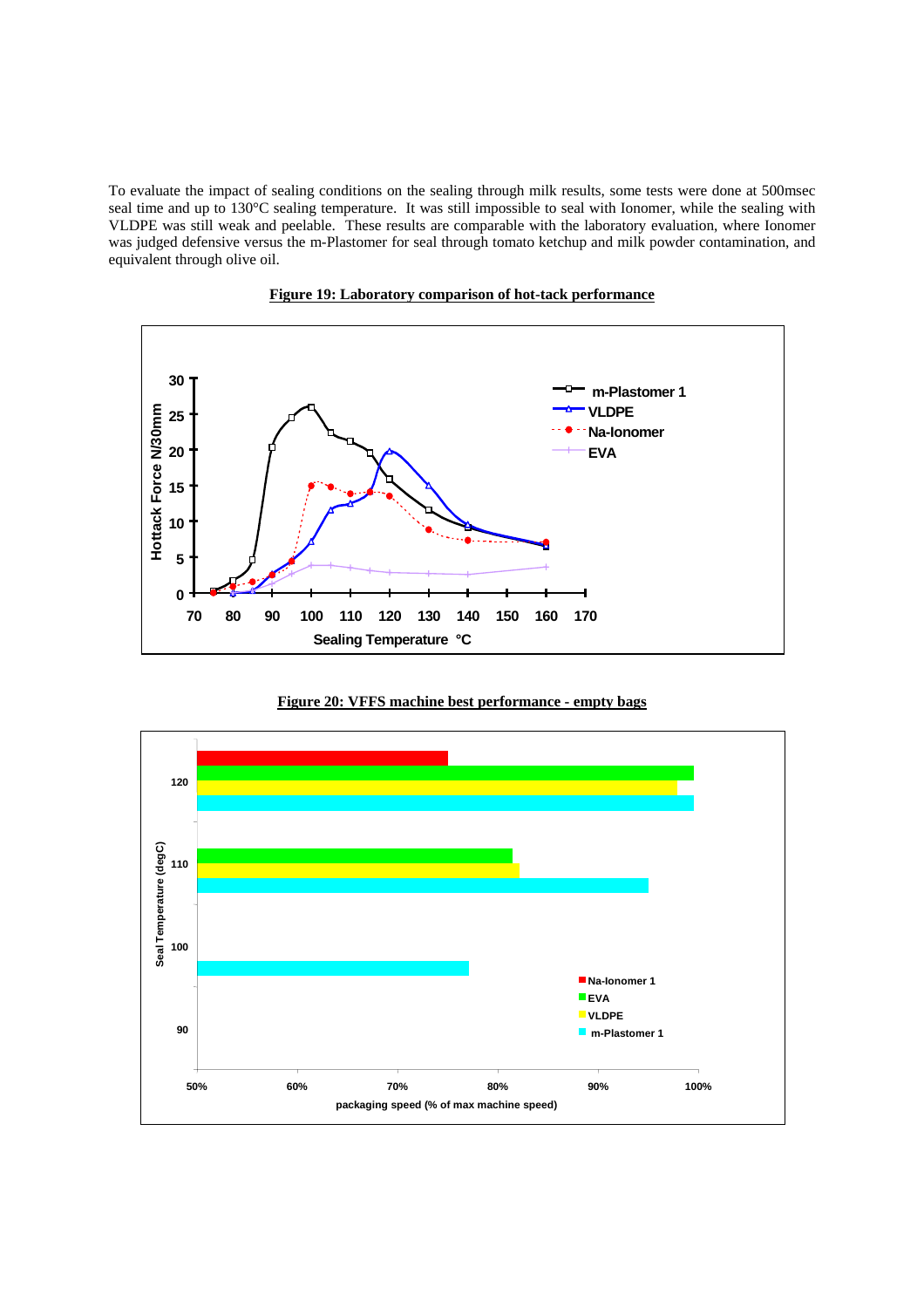To evaluate the impact of sealing conditions on the sealing through milk results, some tests were done at 500msec seal time and up to 130°C sealing temperature. It was still impossible to seal with Ionomer, while the sealing with VLDPE was still weak and peelable. These results are comparable with the laboratory evaluation, where Ionomer was judged defensive versus the m-Plastomer for seal through tomato ketchup and milk powder contamination, and equivalent through olive oil.



**Figure 19: Laboratory comparison of hot-tack performance**

**Figure 20: VFFS machine best performance - empty bags**

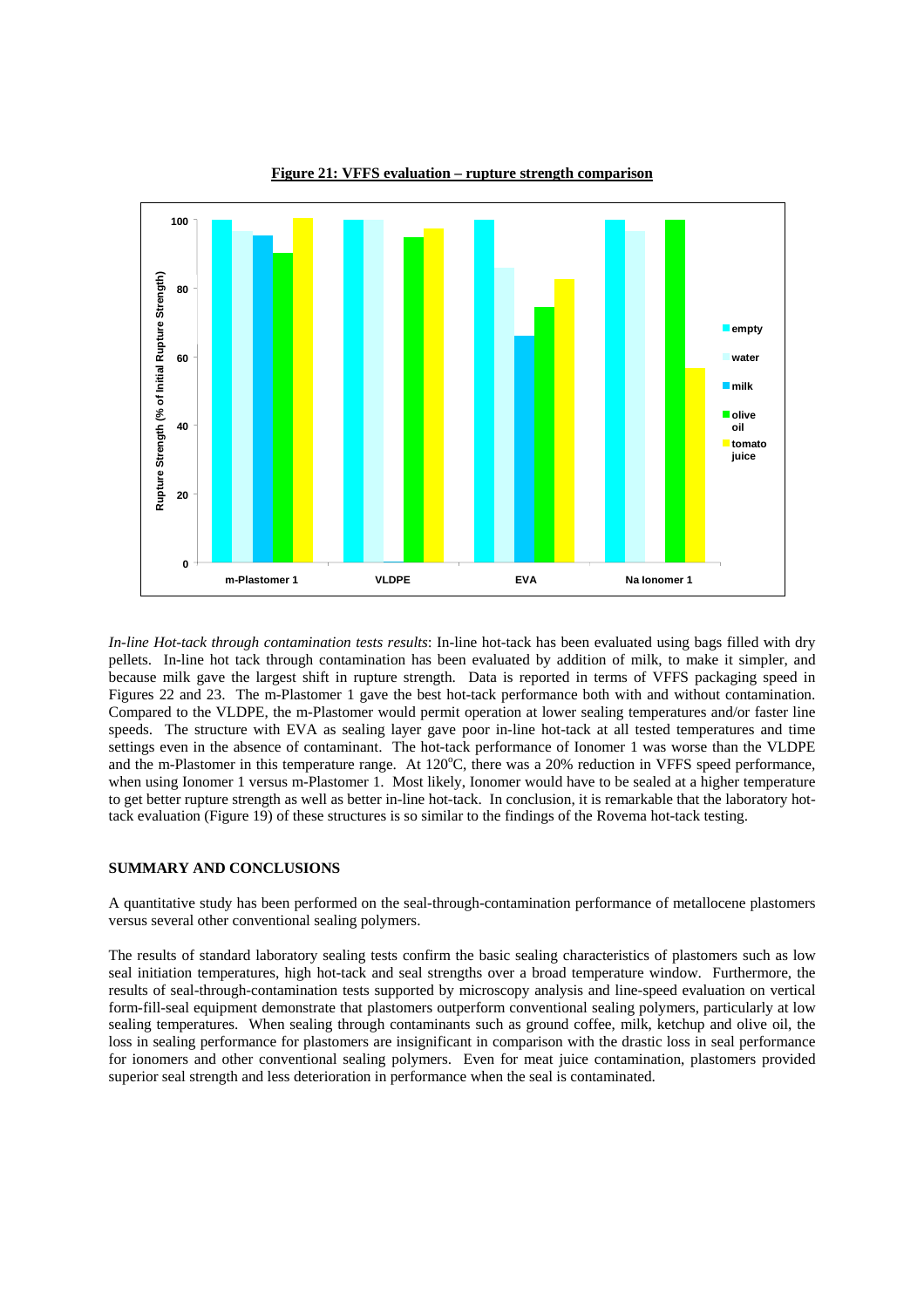

**Figure 21: VFFS evaluation – rupture strength comparison**

*In-line Hot-tack through contamination tests results*: In-line hot-tack has been evaluated using bags filled with dry pellets. In-line hot tack through contamination has been evaluated by addition of milk, to make it simpler, and because milk gave the largest shift in rupture strength. Data is reported in terms of VFFS packaging speed in Figures 22 and 23. The m-Plastomer 1 gave the best hot-tack performance both with and without contamination. Compared to the VLDPE, the m-Plastomer would permit operation at lower sealing temperatures and/or faster line speeds. The structure with EVA as sealing layer gave poor in-line hot-tack at all tested temperatures and time settings even in the absence of contaminant. The hot-tack performance of Ionomer 1 was worse than the VLDPE and the m-Plastomer in this temperature range. At 120°C, there was a 20% reduction in VFFS speed performance, when using Ionomer 1 versus m-Plastomer 1. Most likely, Ionomer would have to be sealed at a higher temperature to get better rupture strength as well as better in-line hot-tack. In conclusion, it is remarkable that the laboratory hottack evaluation (Figure 19) of these structures is so similar to the findings of the Rovema hot-tack testing.

## **SUMMARY AND CONCLUSIONS**

A quantitative study has been performed on the seal-through-contamination performance of metallocene plastomers versus several other conventional sealing polymers.

The results of standard laboratory sealing tests confirm the basic sealing characteristics of plastomers such as low seal initiation temperatures, high hot-tack and seal strengths over a broad temperature window. Furthermore, the results of seal-through-contamination tests supported by microscopy analysis and line-speed evaluation on vertical form-fill-seal equipment demonstrate that plastomers outperform conventional sealing polymers, particularly at low sealing temperatures. When sealing through contaminants such as ground coffee, milk, ketchup and olive oil, the loss in sealing performance for plastomers are insignificant in comparison with the drastic loss in seal performance for ionomers and other conventional sealing polymers. Even for meat juice contamination, plastomers provided superior seal strength and less deterioration in performance when the seal is contaminated.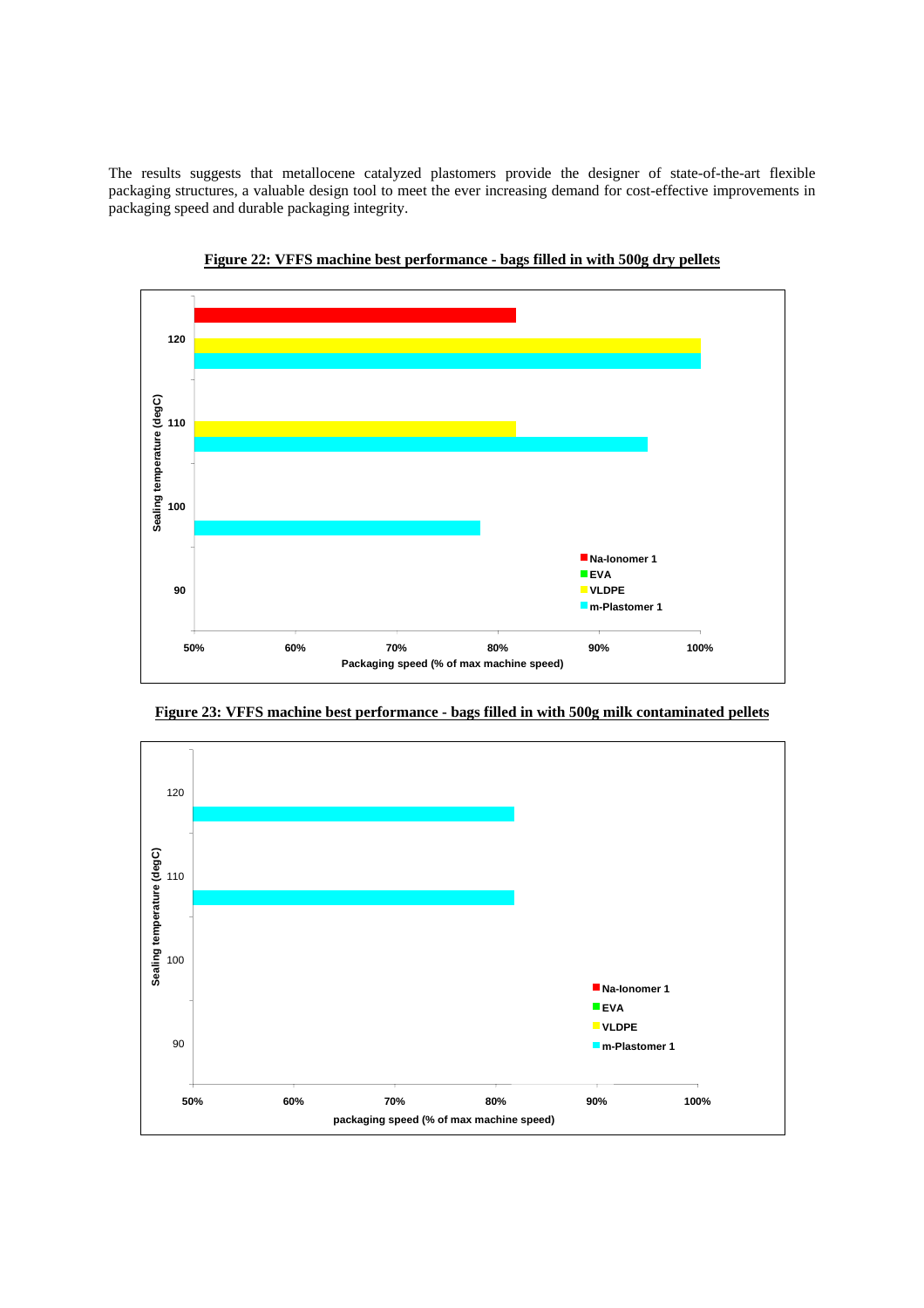The results suggests that metallocene catalyzed plastomers provide the designer of state-of-the-art flexible packaging structures, a valuable design tool to meet the ever increasing demand for cost-effective improvements in packaging speed and durable packaging integrity.



**Figure 22: VFFS machine best performance - bags filled in with 500g dry pellets**



**Figure 23: VFFS machine best performance - bags filled in with 500g milk contaminated pellets**